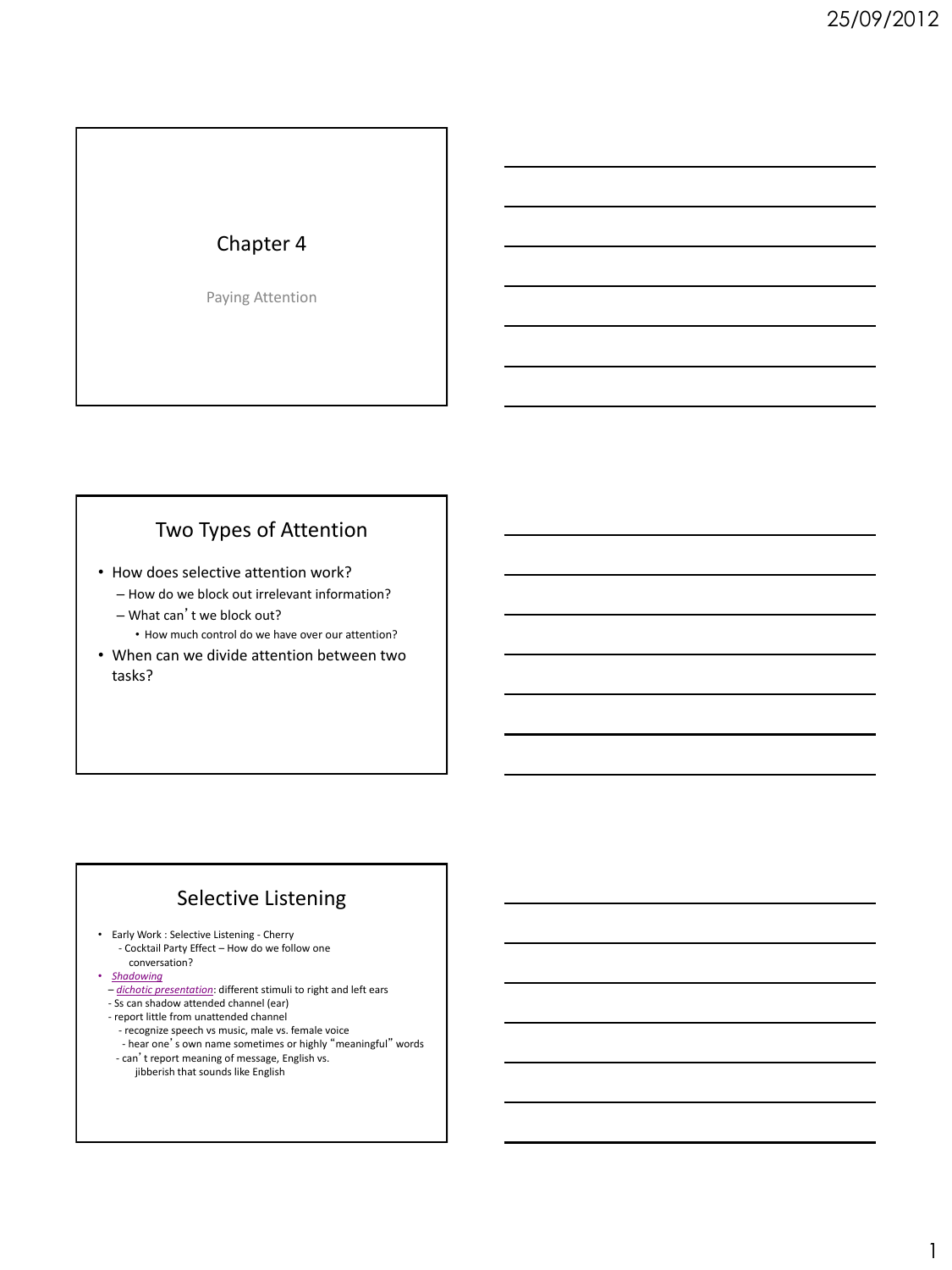## Chapter 4

Paying Attention

## Two Types of Attention

- How does selective attention work?
	- How do we block out irrelevant information?
	- What can't we block out?
		- How much control do we have over our attention?
- When can we divide attention between two tasks?

## Selective Listening

- Early Work : Selective Listening Cherry - Cocktail Party Effect – How do we follow one conversation?
- *Shadowing*
- *dichotic presentation*: different stimuli to right and left ears - Ss can shadow attended channel (ear)
- report little from unattended channel
- recognize speech vs music, male vs. female voice
- hear one's own name sometimes or highly "meaningful" words
- can't report meaning of message, English vs. jibberish that sounds like English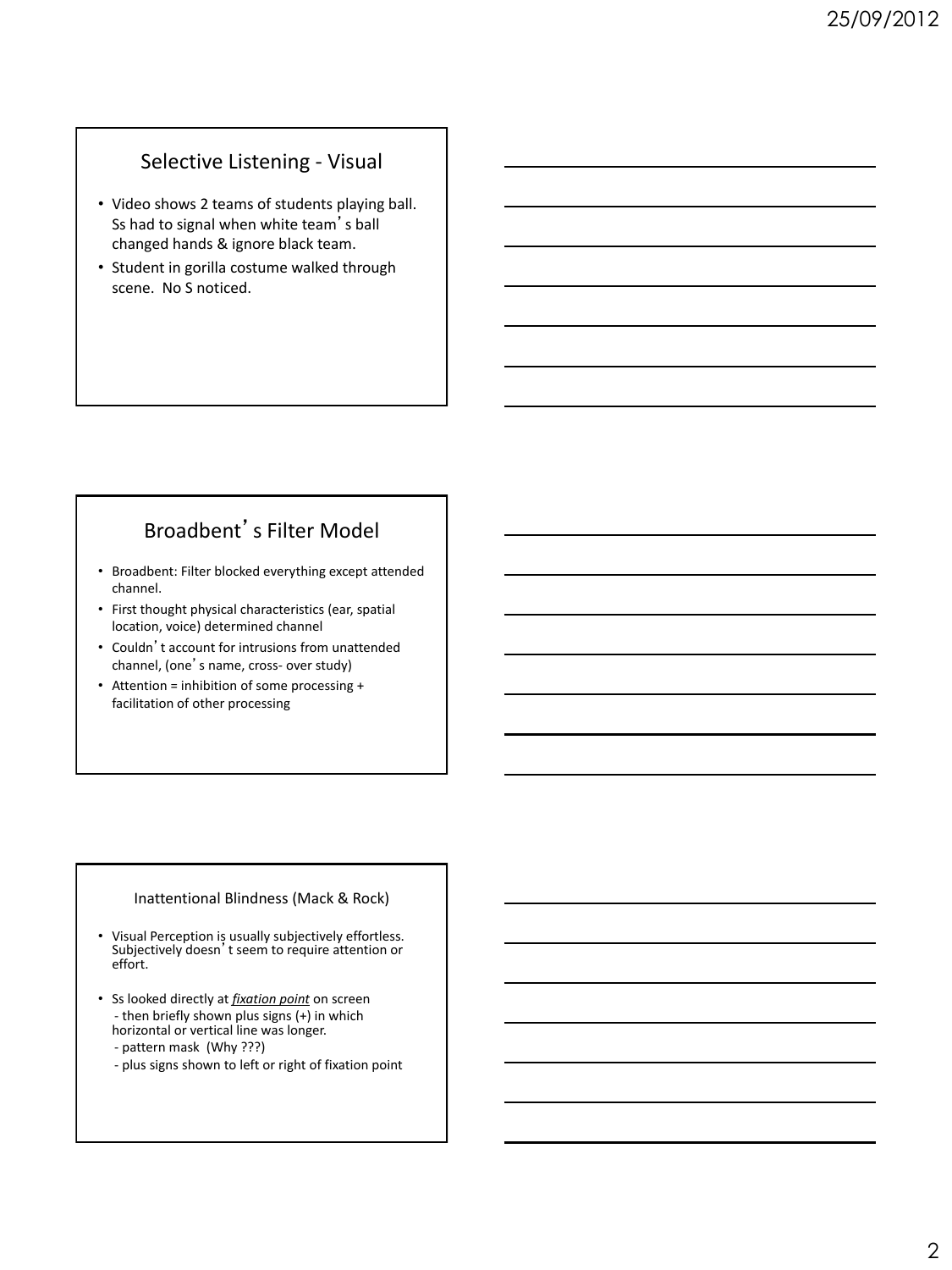### Selective Listening - Visual

- Video shows 2 teams of students playing ball. Ss had to signal when white team's ball changed hands & ignore black team.
- Student in gorilla costume walked through scene. No S noticed.

## Broadbent's Filter Model

- Broadbent: Filter blocked everything except attended channel.
- First thought physical characteristics (ear, spatial location, voice) determined channel
- Couldn't account for intrusions from unattended channel, (one's name, cross- over study)
- Attention = inhibition of some processing + facilitation of other processing

#### Inattentional Blindness (Mack & Rock)

- Visual Perception is usually subjectively effortless. Subjectively doesn't seem to require attention or effort.
- Ss looked directly at *fixation point* on screen - then briefly shown plus signs (+) in which horizontal or vertical line was longer.
	- pattern mask (Why ???)
	- plus signs shown to left or right of fixation point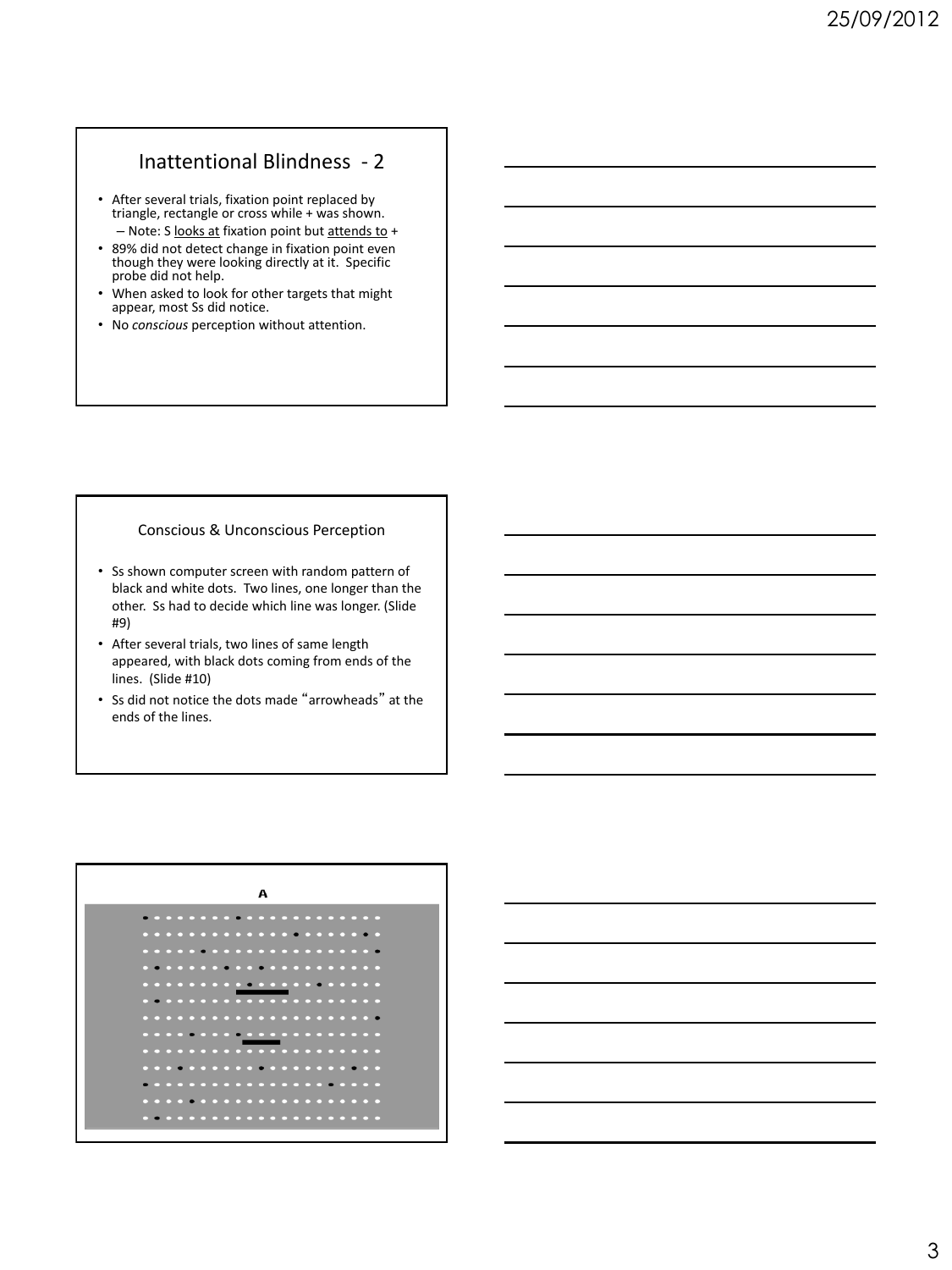### Inattentional Blindness - 2

- After several trials, fixation point replaced by triangle, rectangle or cross while + was shown. – Note: S looks at fixation point but attends to +
- 89% did not detect change in fixation point even though they were looking directly at it. Specific probe did not help.
- When asked to look for other targets that might appear, most Ss did notice.
- No *conscious* perception without attention.

#### Conscious & Unconscious Perception

- Ss shown computer screen with random pattern of black and white dots. Two lines, one longer than the other. Ss had to decide which line was longer. (Slide #9)
- After several trials, two lines of same length appeared, with black dots coming from ends of the lines. (Slide #10)
- Ss did not notice the dots made "arrowheads" at the ends of the lines.



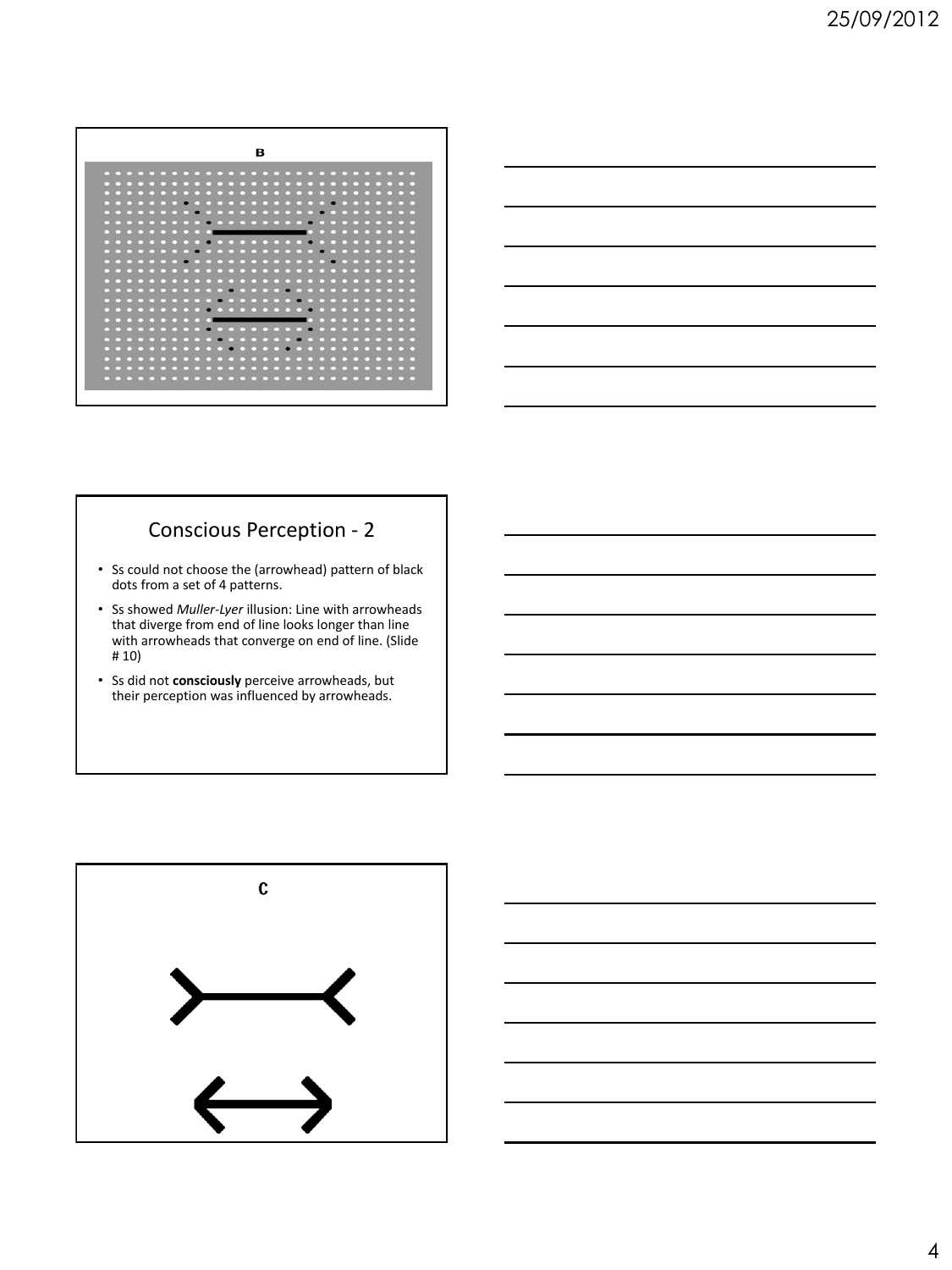| в                                       |                                                                                          |                                                                                          |  |  |  |  |  |  |
|-----------------------------------------|------------------------------------------------------------------------------------------|------------------------------------------------------------------------------------------|--|--|--|--|--|--|
| $\sim$<br>$\sim$ $\sim$                 | $\cdots\cdots\cdots$<br>.                                                                | $\sim$ $\sim$<br>$\cdots$                                                                |  |  |  |  |  |  |
| г<br>▭<br>冖                             | ┍<br>┍<br>г<br>┍<br>г<br>E3<br>г<br>冖<br>-                                               | г<br>┍<br>┍                                                                              |  |  |  |  |  |  |
| □                                       | r                                                                                        | ┍<br>┍                                                                                   |  |  |  |  |  |  |
| ◘<br>冖                                  |                                                                                          | п                                                                                        |  |  |  |  |  |  |
| □<br>冖<br>冖<br>┍<br>┍<br>□              | ┍<br>冖<br>┍<br>┍                                                                         | г<br>冖<br>. .                                                                            |  |  |  |  |  |  |
| □<br>冖                                  |                                                                                          | с                                                                                        |  |  |  |  |  |  |
| □<br>n<br>□                             | c<br>-<br>г                                                                              | n<br>┍                                                                                   |  |  |  |  |  |  |
| □<br>□                                  |                                                                                          | ⊏<br>▭                                                                                   |  |  |  |  |  |  |
| □<br>□                                  |                                                                                          | г                                                                                        |  |  |  |  |  |  |
| □                                       |                                                                                          | ┍<br>□                                                                                   |  |  |  |  |  |  |
| ◘<br>□                                  |                                                                                          | с                                                                                        |  |  |  |  |  |  |
| □<br>□<br>□<br>$\sim$ $\sim$<br>--<br>- | 冖<br>п<br>┍<br>n<br>┍<br>□<br>冖<br>г.<br>--<br>$\sim$ $\sim$ $\sim$<br>n<br>−<br>−<br>-- | n<br>┍<br>г<br>-<br>г<br>□<br>п<br>−<br>г<br>−<br>−<br>┍<br>г<br>г<br>┍<br>$\sim$ $\sim$ |  |  |  |  |  |  |
|                                         |                                                                                          |                                                                                          |  |  |  |  |  |  |



# Conscious Perception - 2

- Ss could not choose the (arrowhead) pattern of black dots from a set of 4 patterns.
- Ss showed *Muller-Lyer* illusion: Line with arrowheads that diverge from end of line looks longer than line with arrowheads that converge on end of line. (Slide # 10)
- Ss did not **consciously** perceive arrowheads, but their perception was influenced by arrowheads.

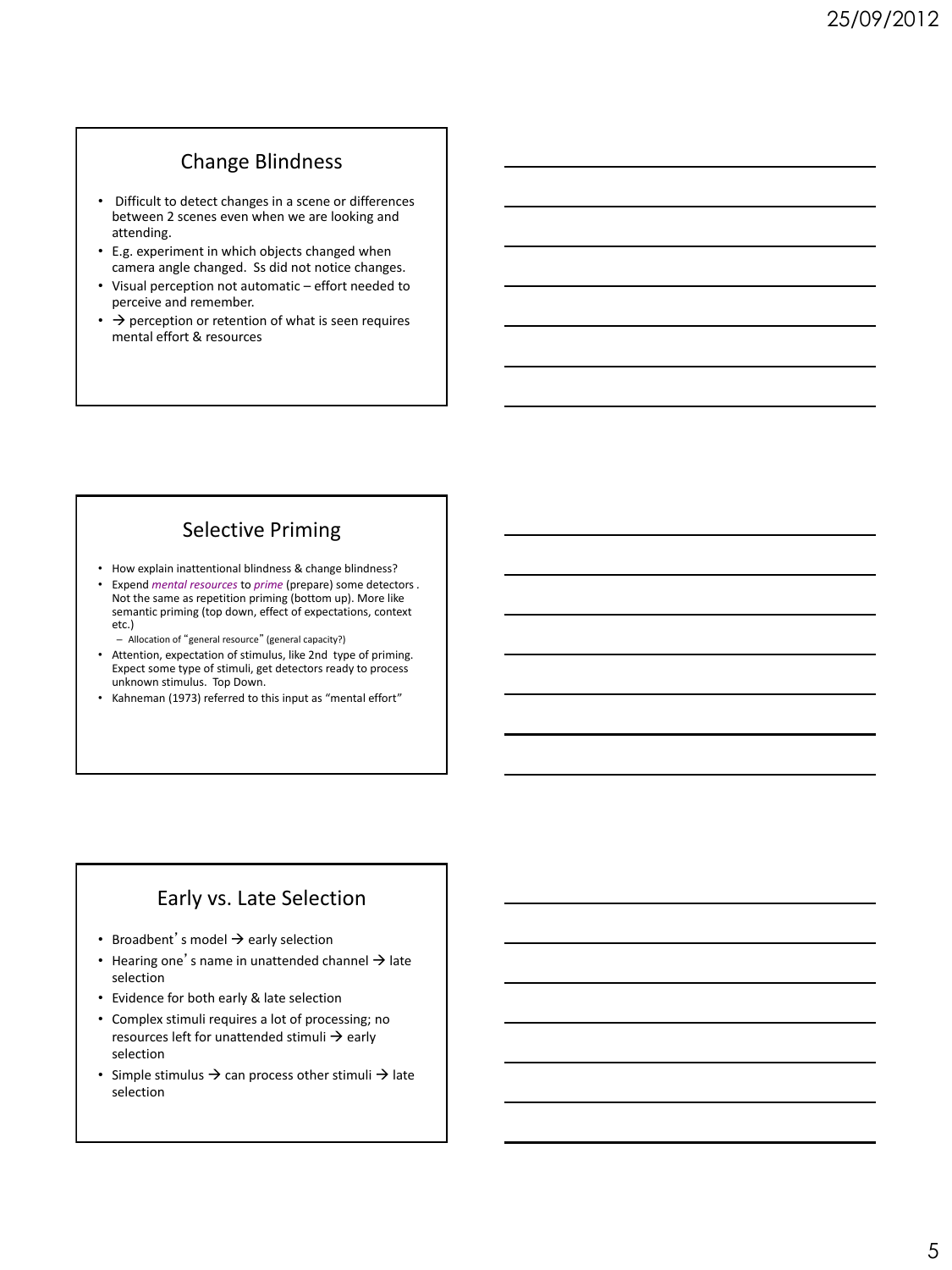## Change Blindness

- Difficult to detect changes in a scene or differences between 2 scenes even when we are looking and attending.
- E.g. experiment in which objects changed when camera angle changed. Ss did not notice changes.
- Visual perception not automatic effort needed to perceive and remember.
- $\cdot$   $\rightarrow$  perception or retention of what is seen requires mental effort & resources

## Selective Priming

- How explain inattentional blindness & change blindness?
- Expend *mental resources* to *prime* (prepare) some detectors *.*  Not the same as repetition priming (bottom up). More like semantic priming (top down, effect of expectations, context etc.)
	- Allocation of "general resource" (general capacity?)
- Attention, expectation of stimulus, like 2nd type of priming. Expect some type of stimuli, get detectors ready to process unknown stimulus. Top Down.
- Kahneman (1973) referred to this input as "mental effort"

### Early vs. Late Selection

- Broadbent's model  $\rightarrow$  early selection
- Hearing one's name in unattended channel  $\rightarrow$  late selection
- Evidence for both early & late selection
- Complex stimuli requires a lot of processing; no resources left for unattended stimuli  $\rightarrow$  early selection
- Simple stimulus  $\rightarrow$  can process other stimuli  $\rightarrow$  late selection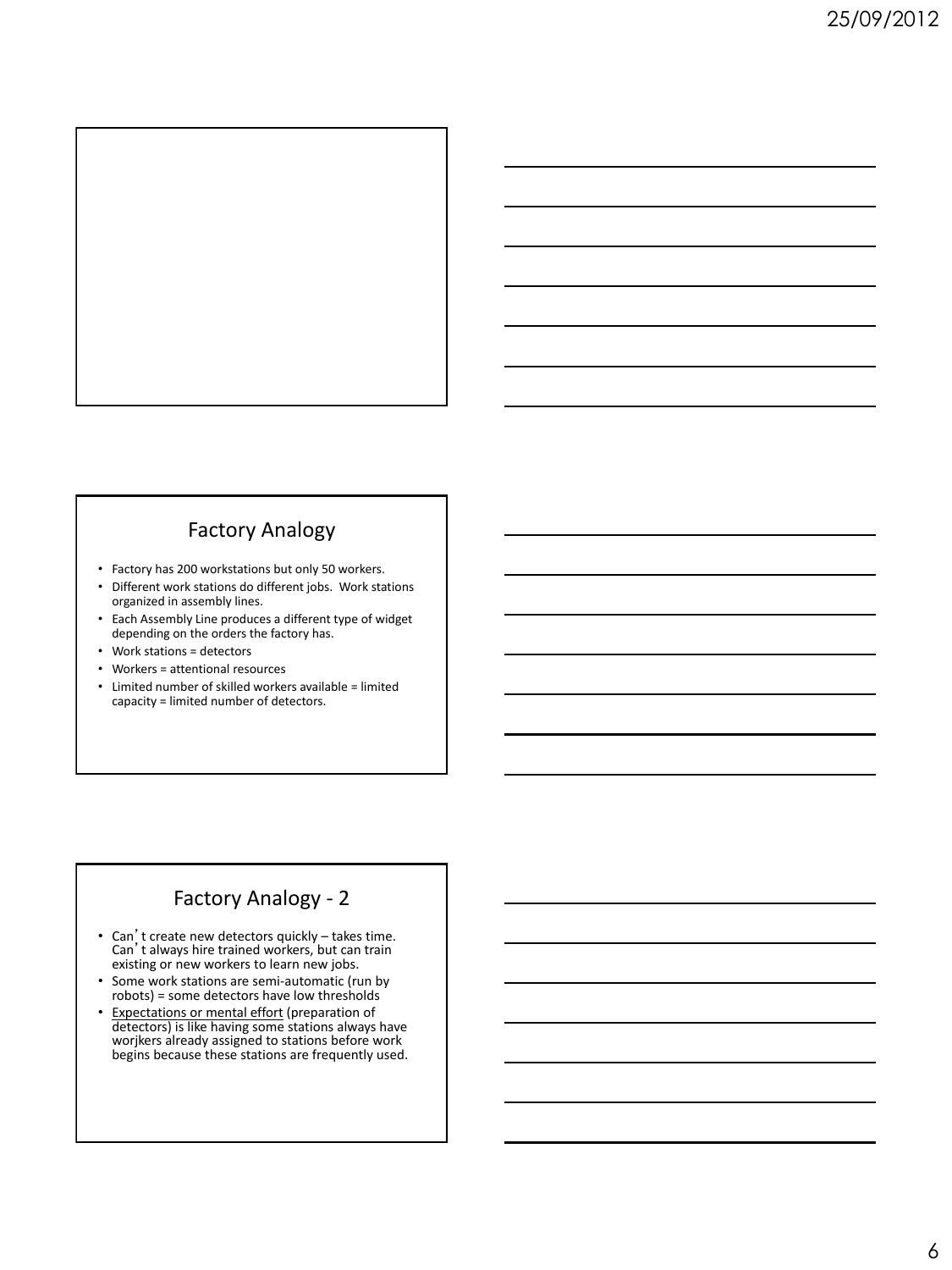

## Factory Analogy

- Factory has 200 workstations but only 50 workers.
- Different work stations do different jobs. Work stations organized in assembly lines.
- Each Assembly Line produces a different type of widget depending on the orders the factory has.
- Work stations = detectors
- Workers = attentional resources
- Limited number of skilled workers available = limited capacity = limited number of detectors.

## Factory Analogy - 2

- Can't create new detectors quickly takes time. Can't always hire trained workers, but can train existing or new workers to learn new jobs.
- Some work stations are semi-automatic (run by robots) = some detectors have low thresholds
- Expectations or mental effort (preparation of detectors) is like having some stations always have worjkers already assigned to stations before work begins because these stations are frequently used.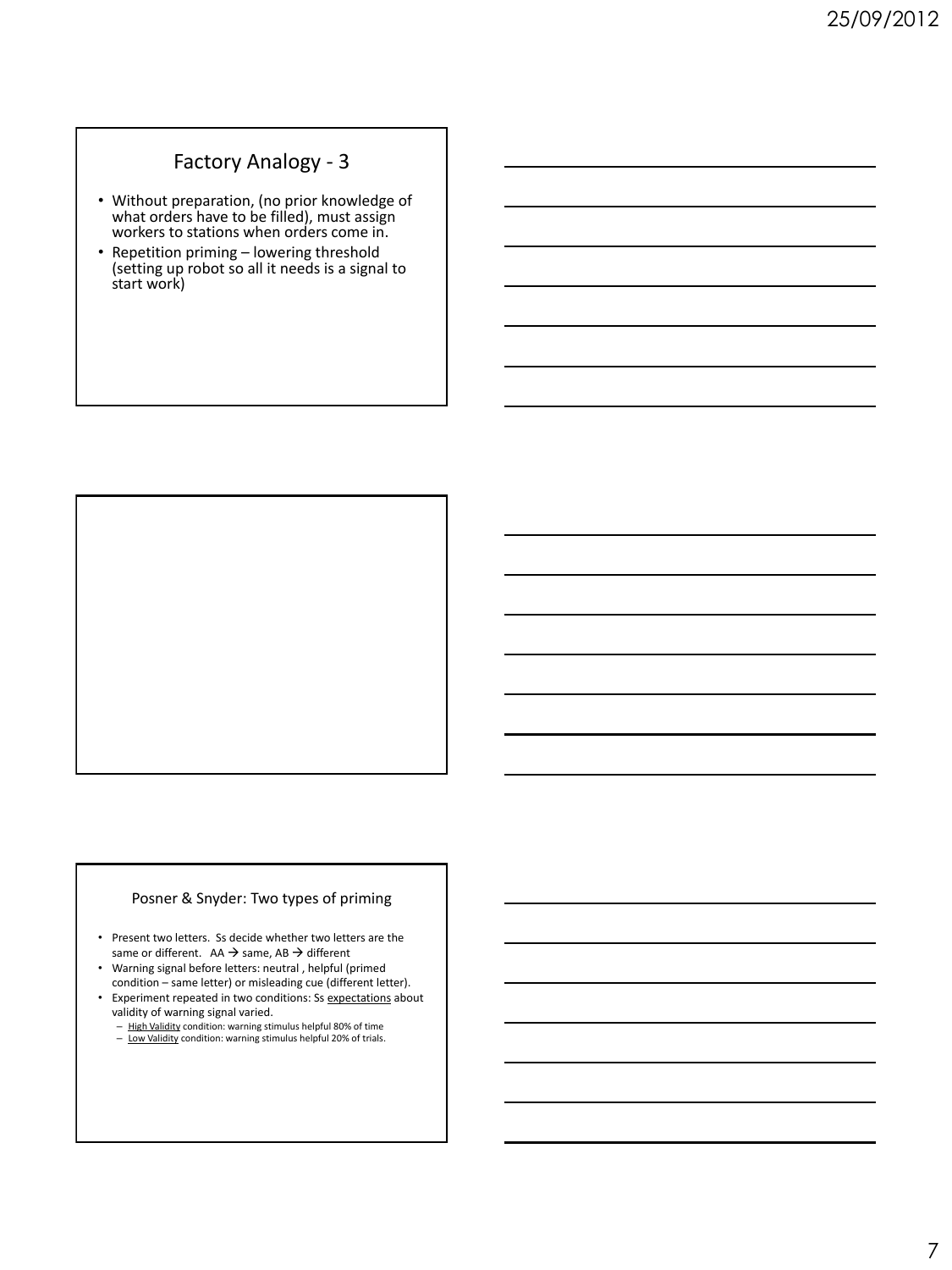## Factory Analogy - 3

- Without preparation, (no prior knowledge of what orders have to be filled), must assign workers to stations when orders come in.
- Repetition priming lowering threshold (setting up robot so all it needs is a signal to start work)

#### Posner & Snyder: Two types of priming

- Present two letters. Ss decide whether two letters are the same or different.  $AA \rightarrow same$ ,  $AB \rightarrow different$
- Warning signal before letters: neutral , helpful (primed condition – same letter) or misleading cue (different letter).
- Experiment repeated in two conditions: Ss expectations about
	- validity of warning signal varied.<br>
	<u>High Validity</u> condition: warning stimulus helpful 80% of time<br>
	<u>Low Validity</u> condition: warning stimulus helpful 20% of trials.
	-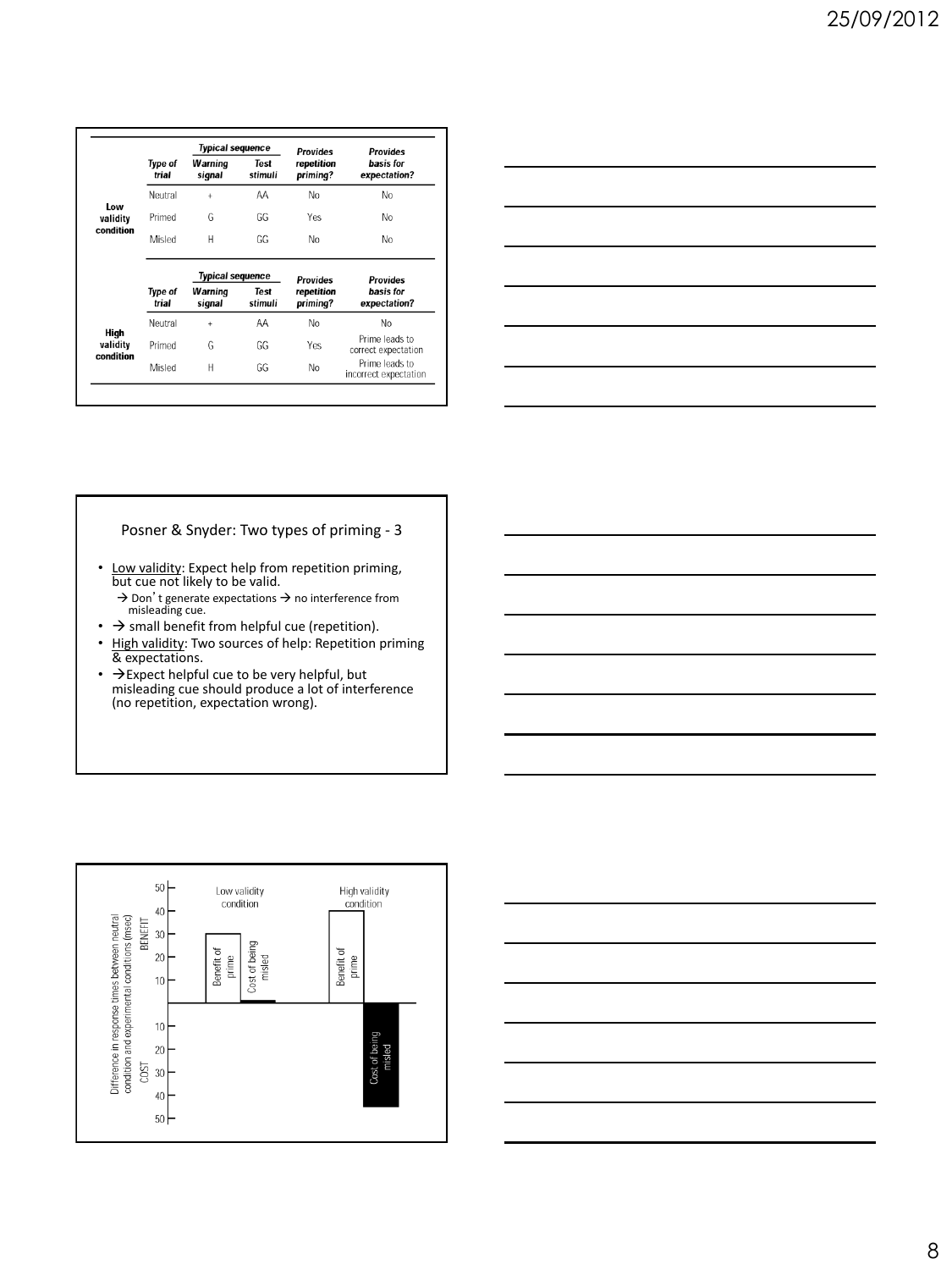|                                                                      |                         | <b>Typical sequence</b> |                        | <b>Provides</b>        | <b>Provides</b>                         |
|----------------------------------------------------------------------|-------------------------|-------------------------|------------------------|------------------------|-----------------------------------------|
|                                                                      | Type of<br>trial        | Warning<br>signal       | <b>Test</b><br>stimuli | repetition<br>priming? | basis for<br>expectation?               |
| <b>Low</b><br>validity<br>condition<br>High<br>validity<br>condition | Neutral                 | $\ddot{}$               | ΑA                     | No                     | No                                      |
|                                                                      | Primed                  | G                       | GG                     | Yes                    | No                                      |
|                                                                      | Misled                  | H                       | GG                     | No                     | No                                      |
|                                                                      |                         | <b>Typical sequence</b> |                        | <b>Provides</b>        | <b>Provides</b>                         |
|                                                                      | <b>Type of</b><br>trial | Warning<br>signal       | <b>Test</b><br>stimuli | repetition<br>priming? | basis for<br>expectation?               |
|                                                                      | Neutral                 | $\ddot{}$               | AA                     | No                     | No                                      |
|                                                                      | Primed                  | G                       | GG                     | Yes                    | Prime leads to<br>correct expectation   |
|                                                                      | Misled                  | Н                       | GG                     | No                     | Prime leads to<br>incorrect expectation |

| <u> 1989 - Johann Barn, amerikansk politiker (d. 1989)</u>                                                           |  |                                                                                                                        |  |
|----------------------------------------------------------------------------------------------------------------------|--|------------------------------------------------------------------------------------------------------------------------|--|
|                                                                                                                      |  | <u> 1989 - Johann Barn, mars ann an t-Amhain ann an t-Amhain ann an t-Amhain ann an t-Amhain an t-Amhain ann an t-</u> |  |
|                                                                                                                      |  | <u> 1989 - Johann Barn, amerikan berkemaan di sebagai berkemaan di sebagai berkemaan di sebagai berkemaan di seba</u>  |  |
| <u> 1989 - Johann Stein, markin sanadi shirta mashrida na shekara ta 1989 - An tsarar tsarar tsarar tsarar tsara</u> |  |                                                                                                                        |  |
|                                                                                                                      |  | <u> 1989 - Johann Barn, mars ann an t-Amhain ann an t-Amhain ann an t-Amhain ann an t-Amhain an t-Amhain ann an t-</u> |  |
|                                                                                                                      |  |                                                                                                                        |  |
|                                                                                                                      |  |                                                                                                                        |  |

#### Posner & Snyder: Two types of priming - 3

- Low validity: Expect help from repetition priming,<br>but cue not likely to be valid.
	- $\rightarrow$  Don't generate expectations  $\rightarrow$  no interference from misleading cue.
- $\bullet$   $\rightarrow$  small benefit from helpful cue (repetition).
- High validity: Two sources of help: Repetition priming & expectations.
- → Expect helpful cue to be very helpful, but<br>misleading cue should produce a lot of interference (no repetition, expectation wrong).



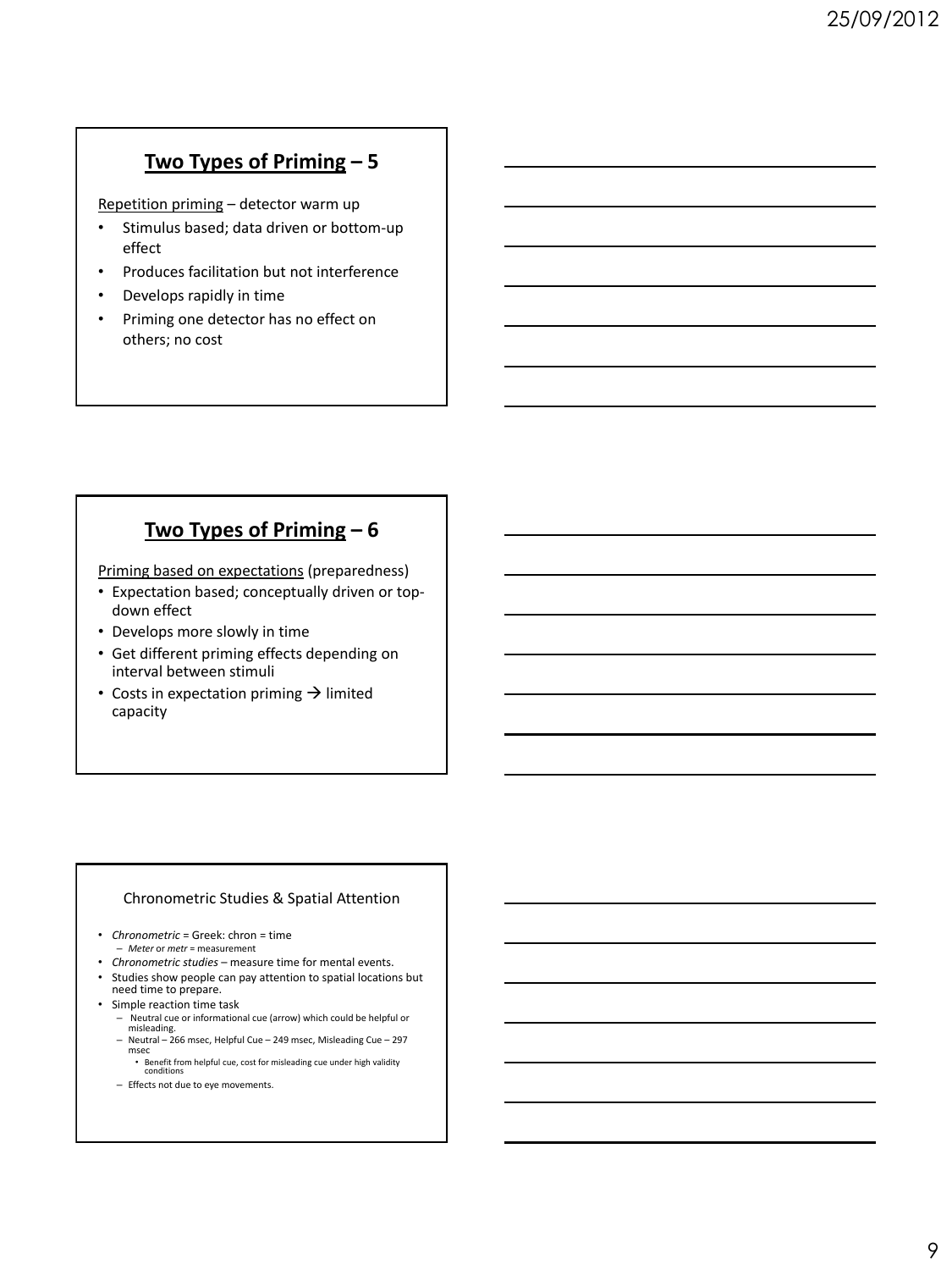## **Two Types of Priming – 5**

Repetition priming – detector warm up

- Stimulus based; data driven or bottom-up effect
- Produces facilitation but not interference
- Develops rapidly in time
- Priming one detector has no effect on others; no cost

## **Two Types of Priming – 6**

Priming based on expectations (preparedness)

- Expectation based; conceptually driven or topdown effect
- Develops more slowly in time
- Get different priming effects depending on interval between stimuli
- Costs in expectation priming  $\rightarrow$  limited capacity

#### Chronometric Studies & Spatial Attention

- *Chronometric* = Greek: chron = time – *Meter* or *metr* = measurement
- *Chronometric studies*  measure time for mental events.
- Studies show people can pay attention to spatial locations but need time to prepare.
- Simple reaction time task
	- Neutral cue or informational cue (arrow) which could be helpful or misleading.
	- Neutral 266 msec, Helpful Cue 249 msec, Misleading Cue 297 msec
	- Benefit from helpful cue, cost for misleading cue under high validity conditions
	- Effects not due to eye movements.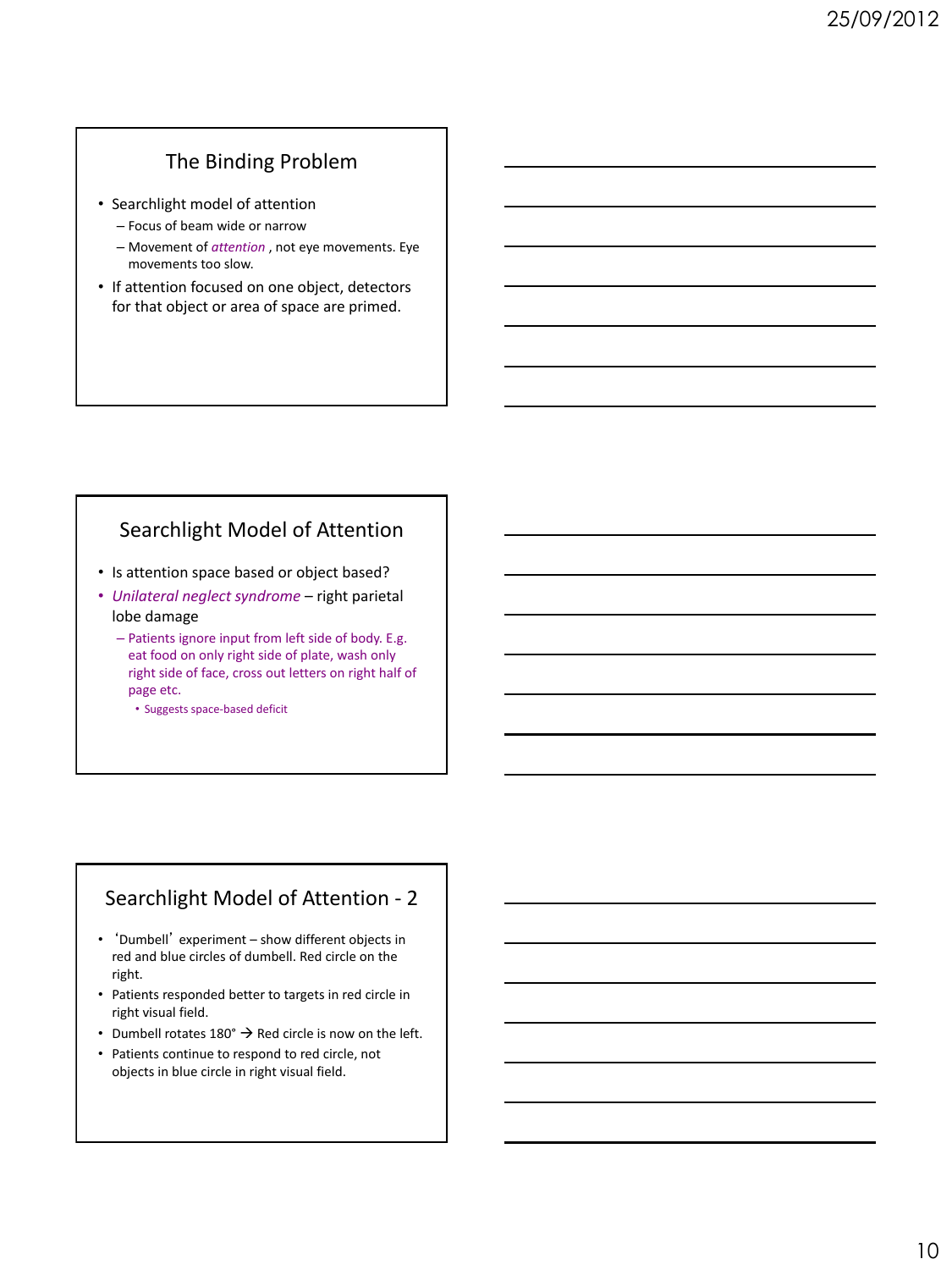## The Binding Problem

- Searchlight model of attention
	- Focus of beam wide or narrow
	- Movement of *attention* , not eye movements. Eye movements too slow.
- If attention focused on one object, detectors for that object or area of space are primed.

## Searchlight Model of Attention

- Is attention space based or object based?
- *Unilateral neglect syndrome* right parietal lobe damage
	- Patients ignore input from left side of body. E.g. eat food on only right side of plate, wash only right side of face, cross out letters on right half of page etc.
		- Suggests space-based deficit

## Searchlight Model of Attention - 2

- 'Dumbell' experiment show different objects in red and blue circles of dumbell. Red circle on the right.
- Patients responded better to targets in red circle in right visual field.
- Dumbell rotates  $180^\circ \rightarrow$  Red circle is now on the left.
- Patients continue to respond to red circle, not objects in blue circle in right visual field.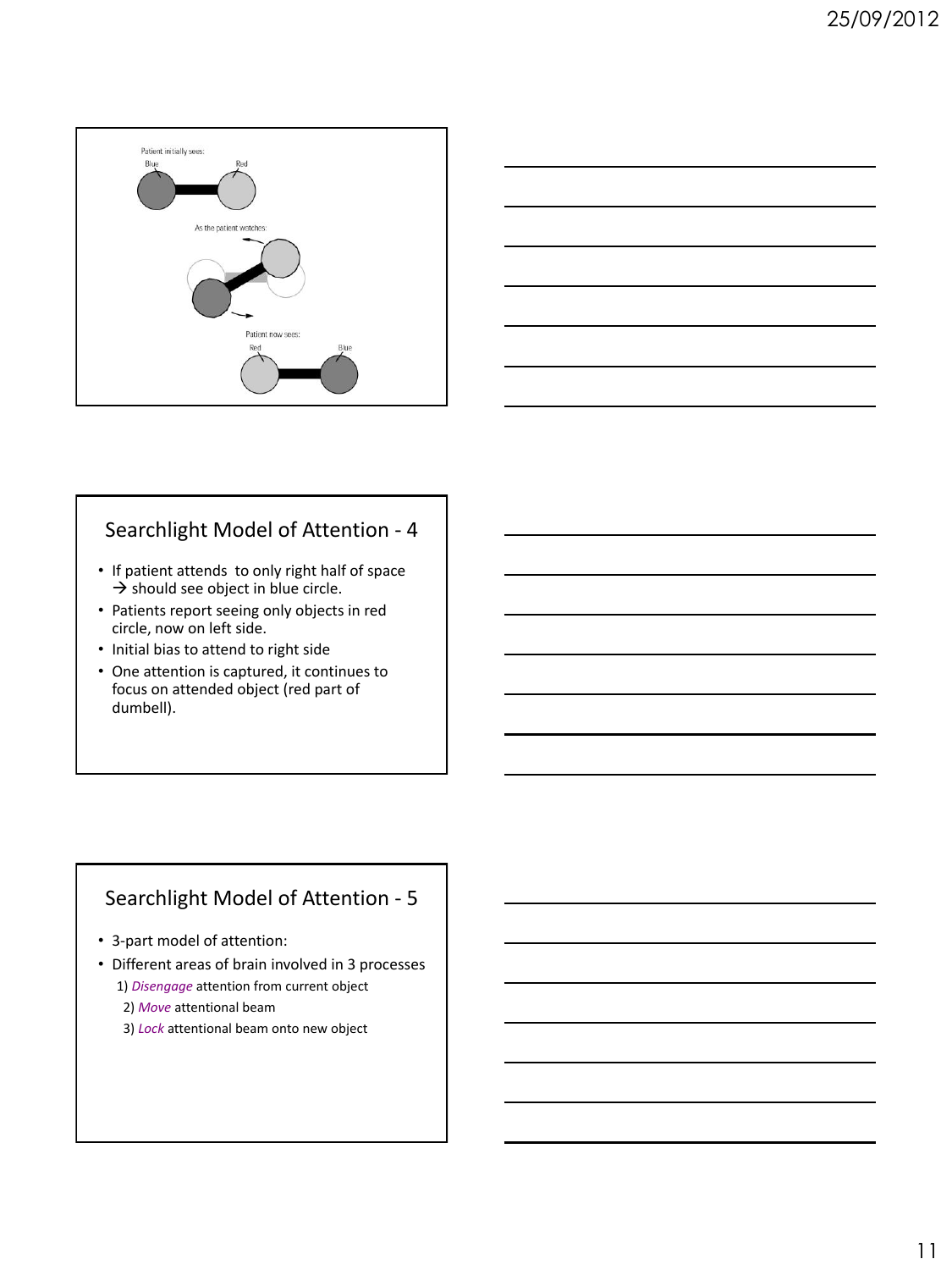



## Searchlight Model of Attention - 4

- If patient attends to only right half of space  $\rightarrow$  should see object in blue circle.
- Patients report seeing only objects in red circle, now on left side.
- Initial bias to attend to right side
- One attention is captured, it continues to focus on attended object (red part of dumbell).

## Searchlight Model of Attention - 5

- 3-part model of attention:
- Different areas of brain involved in 3 processes 1) *Disengage* attention from current object
	- 2) *Move* attentional beam
	- 3) *Lock* attentional beam onto new object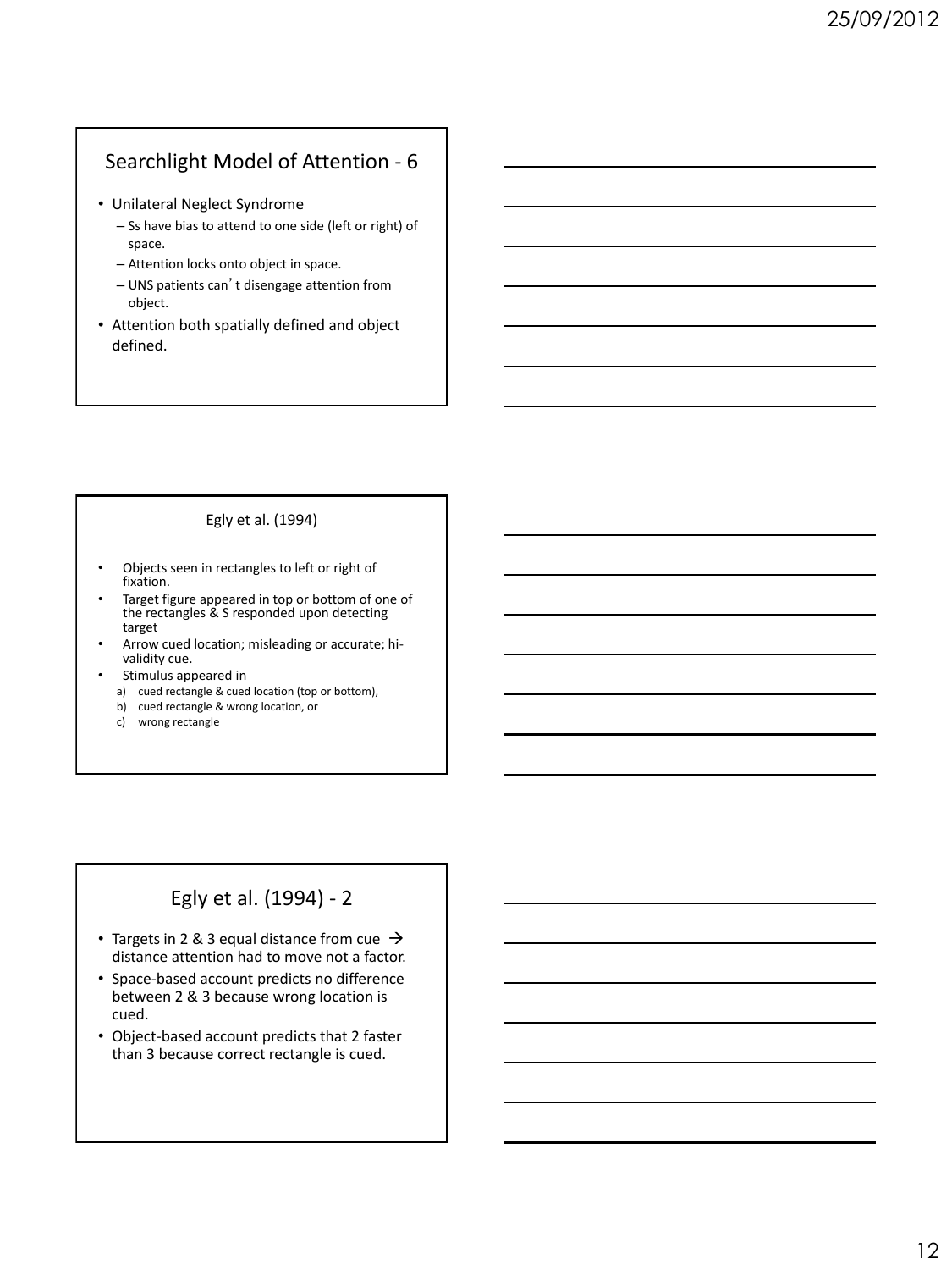## Searchlight Model of Attention - 6

- Unilateral Neglect Syndrome
	- Ss have bias to attend to one side (left or right) of space.
	- Attention locks onto object in space.
	- UNS patients can't disengage attention from object.
- Attention both spatially defined and object defined.

#### Egly et al. (1994)

- Objects seen in rectangles to left or right of fixation.
- Target figure appeared in top or bottom of one of the rectangles & S responded upon detecting target
- Arrow cued location; misleading or accurate; hivalidity cue.
- Stimulus appeared in
	- a) cued rectangle & cued location (top or bottom),
	- b) cued rectangle & wrong location, or
	- c) wrong rectangle

## Egly et al. (1994) - 2

- Targets in 2 & 3 equal distance from cue  $\rightarrow$ distance attention had to move not a factor.
- Space-based account predicts no difference between 2 & 3 because wrong location is cued.
- Object-based account predicts that 2 faster than 3 because correct rectangle is cued.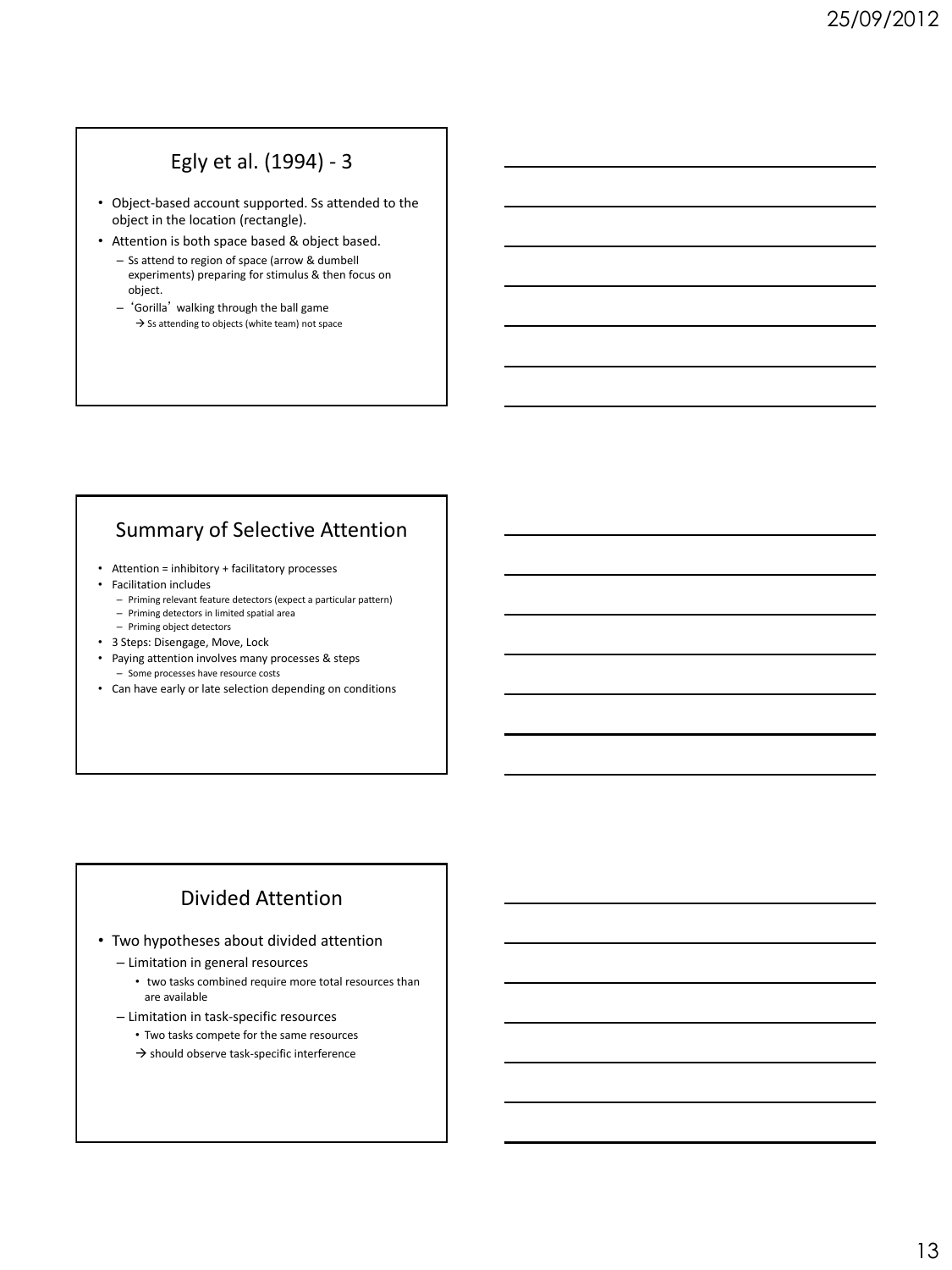## Egly et al. (1994) - 3

- Object-based account supported. Ss attended to the object in the location (rectangle).
- Attention is both space based & object based.
	- Ss attend to region of space (arrow & dumbell experiments) preparing for stimulus & then focus on object.
	- 'Gorilla' walking through the ball game  $\rightarrow$  Ss attending to objects (white team) not space

## Summary of Selective Attention

- Attention = inhibitory + facilitatory processes
- Facilitation includes
	- Priming relevant feature detectors (expect a particular pattern)
	- Priming detectors in limited spatial area – Priming object detectors
- 
- 3 Steps: Disengage, Move, Lock
- Paying attention involves many processes & steps – Some processes have resource costs
- Can have early or late selection depending on conditions

## Divided Attention

- Two hypotheses about divided attention
	- Limitation in general resources
		- two tasks combined require more total resources than are available
	- Limitation in task-specific resources
		- Two tasks compete for the same resources
		- $\rightarrow$  should observe task-specific interference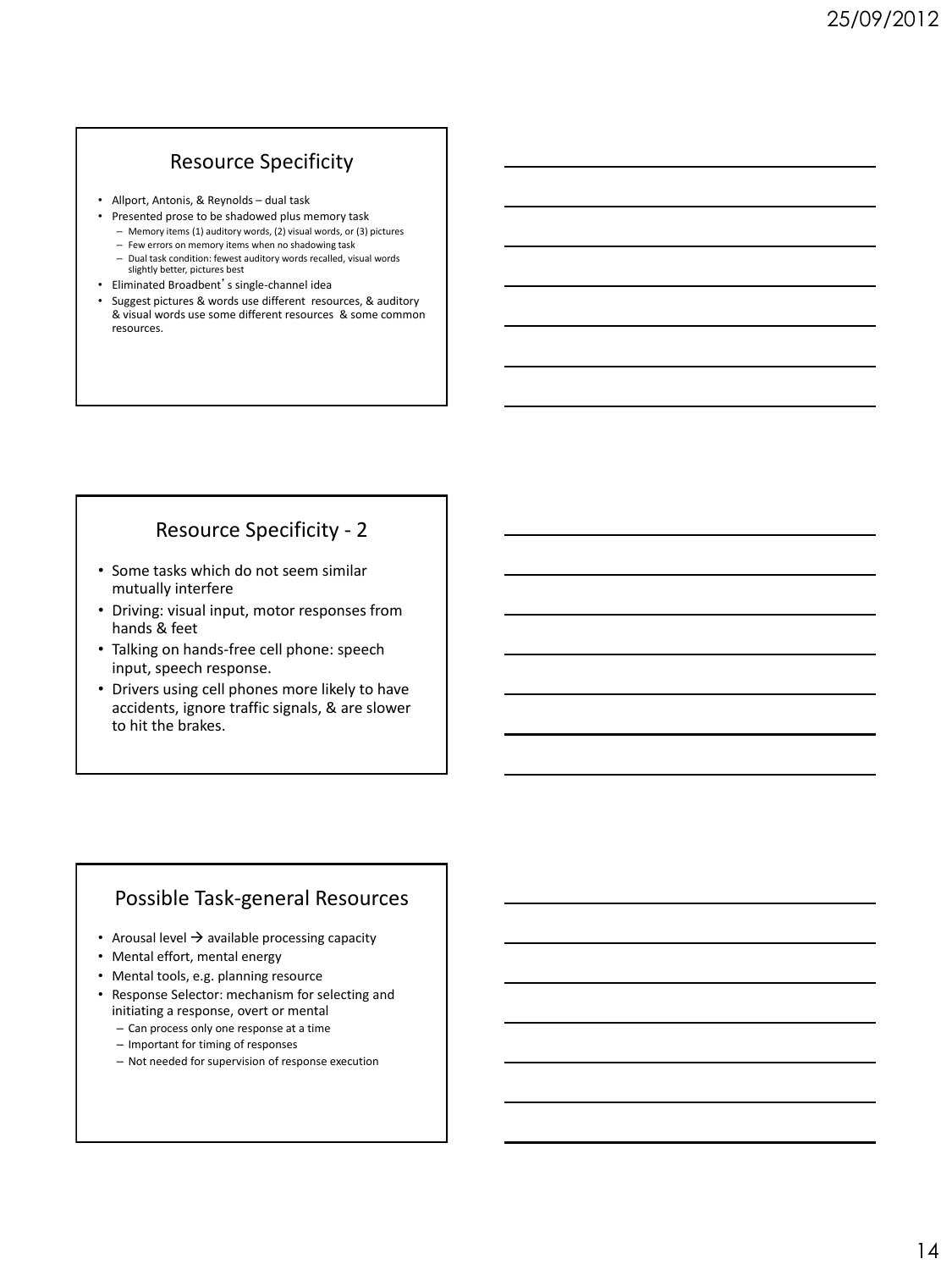## Resource Specificity

- Allport, Antonis, & Reynolds dual task
- Presented prose to be shadowed plus memory task
	- Memory items (1) auditory words, (2) visual words, or (3) pictures – Few errors on memory items when no shadowing task
	- Dual task condition: fewest auditory words recalled, visual words
	- slightly better, pictures best
- Eliminated Broadbent's single-channel idea
- Suggest pictures & words use different resources, & auditory & visual words use some different resources & some common resources.

## Resource Specificity - 2

- Some tasks which do not seem similar mutually interfere
- Driving: visual input, motor responses from hands & feet
- Talking on hands-free cell phone: speech input, speech response.
- Drivers using cell phones more likely to have accidents, ignore traffic signals, & are slower to hit the brakes.

### Possible Task-general Resources

- Arousal level  $\rightarrow$  available processing capacity
- Mental effort, mental energy
- Mental tools, e.g. planning resource
- Response Selector: mechanism for selecting and initiating a response, overt or mental
	- Can process only one response at a time
	- Important for timing of responses
	- Not needed for supervision of response execution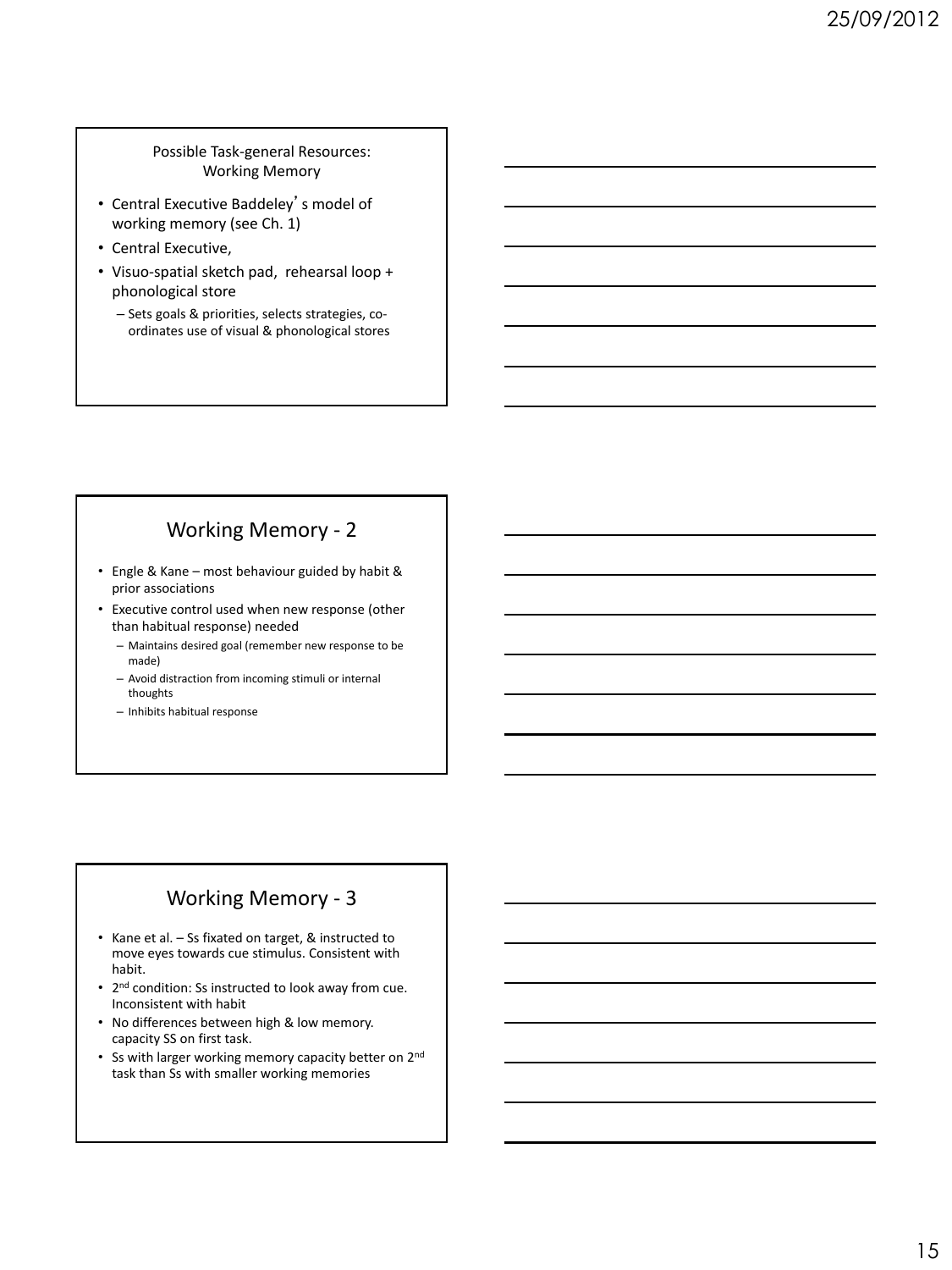Possible Task-general Resources: Working Memory

- Central Executive Baddeley's model of working memory (see Ch. 1)
- Central Executive,
- Visuo-spatial sketch pad, rehearsal loop + phonological store
	- Sets goals & priorities, selects strategies, coordinates use of visual & phonological stores

## Working Memory - 2

- Engle & Kane most behaviour guided by habit & prior associations
- Executive control used when new response (other than habitual response) needed
	- Maintains desired goal (remember new response to be made)
	- Avoid distraction from incoming stimuli or internal thoughts
	- Inhibits habitual response

### Working Memory - 3

- Kane et al. Ss fixated on target, & instructed to move eyes towards cue stimulus. Consistent with habit.
- 2<sup>nd</sup> condition: Ss instructed to look away from cue. Inconsistent with habit
- No differences between high & low memory. capacity SS on first task.
- Ss with larger working memory capacity better on 2<sup>nd</sup> task than Ss with smaller working memories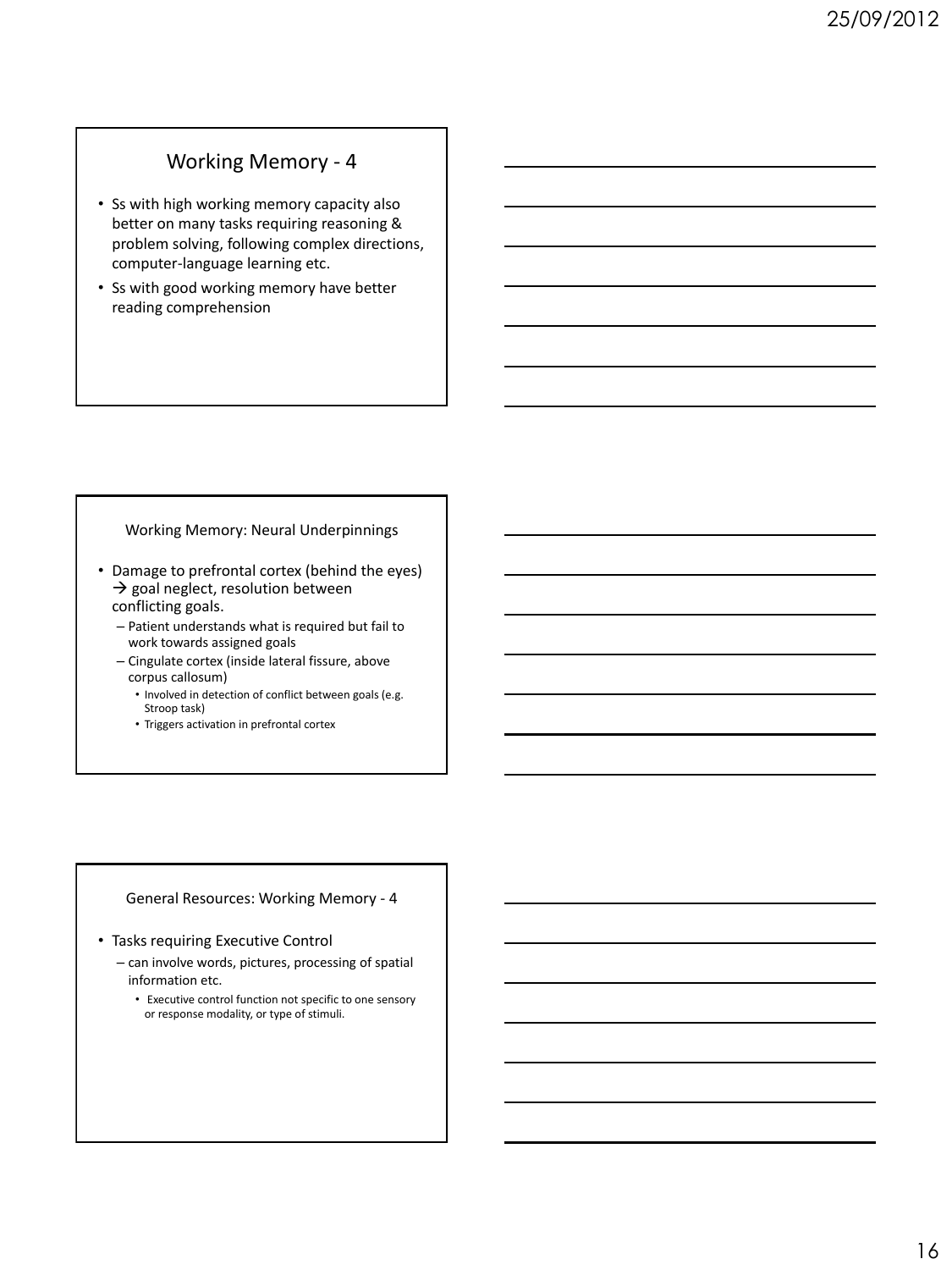### Working Memory - 4

- Ss with high working memory capacity also better on many tasks requiring reasoning & problem solving, following complex directions, computer-language learning etc.
- Ss with good working memory have better reading comprehension

#### Working Memory: Neural Underpinnings

- Damage to prefrontal cortex (behind the eyes)  $\rightarrow$  goal neglect, resolution between conflicting goals.
	- Patient understands what is required but fail to work towards assigned goals
	- Cingulate cortex (inside lateral fissure, above corpus callosum)
		- Involved in detection of conflict between goals (e.g. Stroop task)
		- Triggers activation in prefrontal cortex

#### General Resources: Working Memory - 4

#### • Tasks requiring Executive Control

- can involve words, pictures, processing of spatial information etc.
	- Executive control function not specific to one sensory or response modality, or type of stimuli.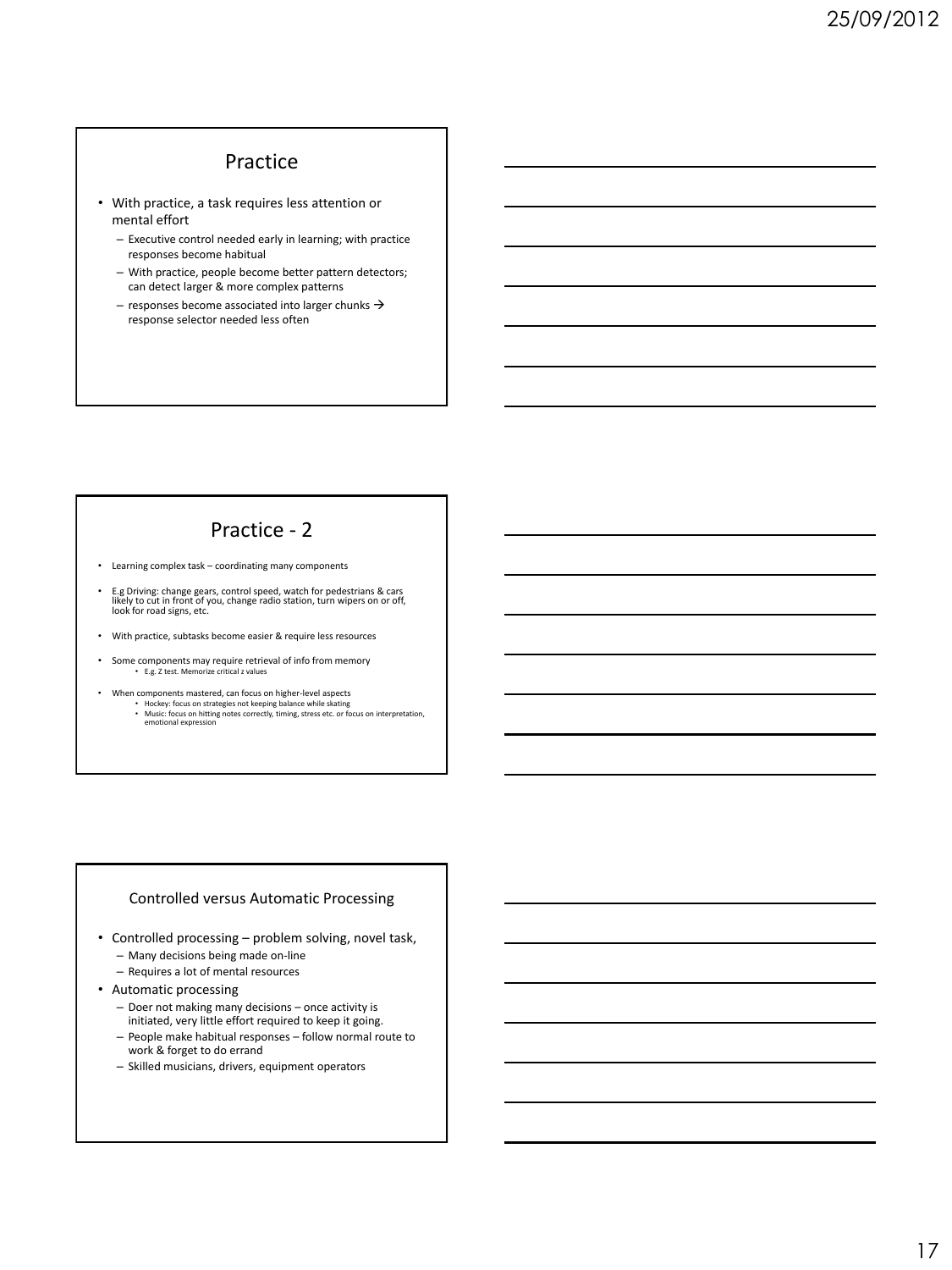### Practice

- With practice, a task requires less attention or mental effort
	- Executive control needed early in learning; with practice responses become habitual
	- With practice, people become better pattern detectors; can detect larger & more complex patterns
	- responses become associated into larger chunks  $\rightarrow$ response selector needed less often

## Practice - 2

- Learning complex task coordinating many components
- E.g Driving: change gears, control speed, watch for pedestrians & cars likely to cut in front of you, change radio station, turn wipers on or off, look for road signs, etc.
- With practice, subtasks become easier & require less resources
- Some components may require retrieval of info from memory • E.g. Z test. Memorize critical z values
- When components mastered, can focus on higher-level aspects<br>• Hockey: focus on strategies not keeping balance while skating<br>• Music: focus on hitting notes correctly, timing, stress etc. or focus on interpretation,<br>• emo

#### Controlled versus Automatic Processing

- Controlled processing problem solving, novel task,
	- Many decisions being made on-line
	- Requires a lot of mental resources
- Automatic processing
	- Doer not making many decisions once activity is initiated, very little effort required to keep it going.
	- People make habitual responses follow normal route to work & forget to do errand
	- Skilled musicians, drivers, equipment operators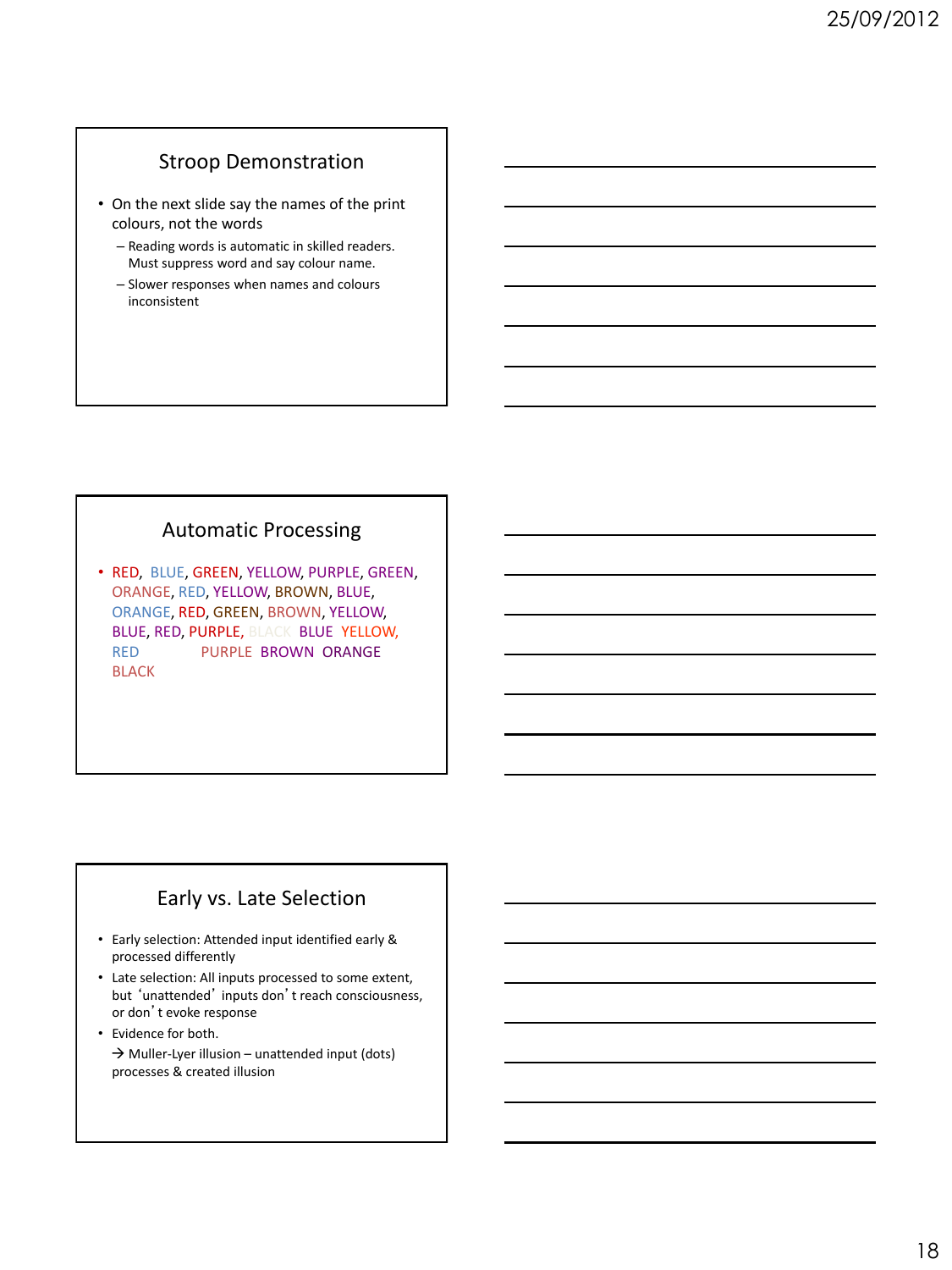## Stroop Demonstration

- On the next slide say the names of the print colours, not the words
	- Reading words is automatic in skilled readers. Must suppress word and say colour name.
	- Slower responses when names and colours inconsistent

### Automatic Processing

• RED, BLUE, GREEN, YELLOW, PURPLE, GREEN, ORANGE, RED, YELLOW, BROWN, BLUE, ORANGE, RED, GREEN, BROWN, YELLOW, BLUE, RED, PURPLE, BLACK, BLUE, YELLOW, RED, PURPLE, BROWN, ORANGE **BLACK** 

## Early vs. Late Selection

- Early selection: Attended input identified early & processed differently
- Late selection: All inputs processed to some extent, but 'unattended' inputs don't reach consciousness, or don't evoke response
- Evidence for both.  $\rightarrow$  Muller-Lyer illusion – unattended input (dots) processes & created illusion